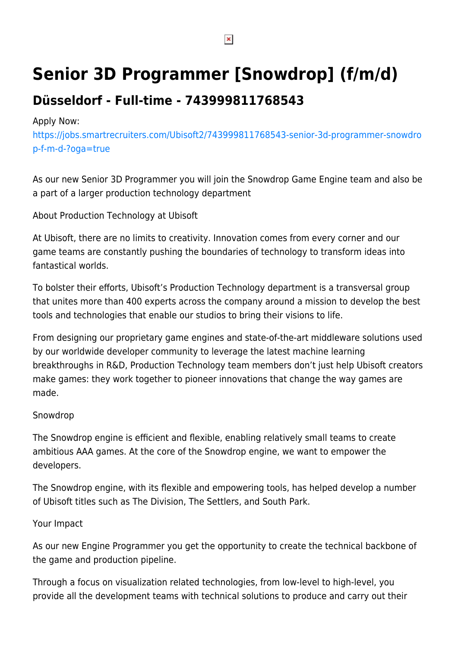# **Senior 3D Programmer [Snowdrop] (f/m/d)**

## **Düsseldorf - Full-time - 743999811768543**

#### Apply Now:

[https://jobs.smartrecruiters.com/Ubisoft2/743999811768543-senior-3d-programmer-snowdro](https://jobs.smartrecruiters.com/Ubisoft2/743999811768543-senior-3d-programmer-snowdrop-f-m-d-?oga=true) [p-f-m-d-?oga=true](https://jobs.smartrecruiters.com/Ubisoft2/743999811768543-senior-3d-programmer-snowdrop-f-m-d-?oga=true)

As our new Senior 3D Programmer you will join the Snowdrop Game Engine team and also be a part of a larger production technology department

About Production Technology at Ubisoft

At Ubisoft, there are no limits to creativity. Innovation comes from every corner and our game teams are constantly pushing the boundaries of technology to transform ideas into fantastical worlds.

To bolster their efforts, Ubisoft's Production Technology department is a transversal group that unites more than 400 experts across the company around a mission to develop the best tools and technologies that enable our studios to bring their visions to life.

From designing our proprietary game engines and state-of-the-art middleware solutions used by our worldwide developer community to leverage the latest machine learning breakthroughs in R&D, Production Technology team members don't just help Ubisoft creators make games: they work together to pioneer innovations that change the way games are made.

#### Snowdrop

The Snowdrop engine is efficient and flexible, enabling relatively small teams to create ambitious AAA games. At the core of the Snowdrop engine, we want to empower the developers.

The Snowdrop engine, with its flexible and empowering tools, has helped develop a number of Ubisoft titles such as The Division, The Settlers, and South Park.

### Your Impact

As our new Engine Programmer you get the opportunity to create the technical backbone of the game and production pipeline.

Through a focus on visualization related technologies, from low-level to high-level, you provide all the development teams with technical solutions to produce and carry out their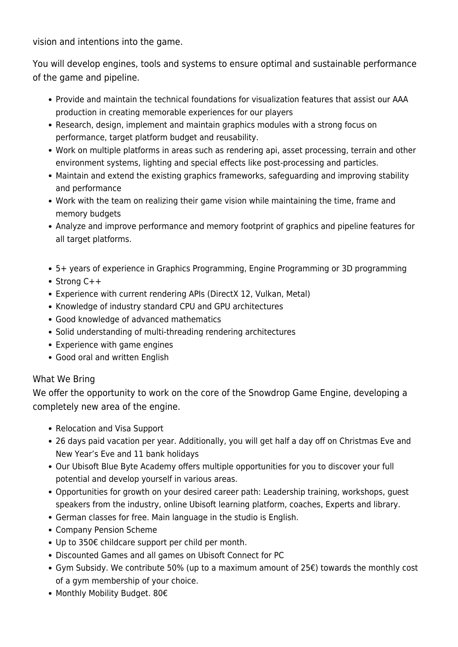vision and intentions into the game.

You will develop engines, tools and systems to ensure optimal and sustainable performance of the game and pipeline.

- Provide and maintain the technical foundations for visualization features that assist our AAA production in creating memorable experiences for our players
- Research, design, implement and maintain graphics modules with a strong focus on performance, target platform budget and reusability.
- Work on multiple platforms in areas such as rendering api, asset processing, terrain and other environment systems, lighting and special effects like post-processing and particles.
- Maintain and extend the existing graphics frameworks, safeguarding and improving stability and performance
- Work with the team on realizing their game vision while maintaining the time, frame and memory budgets
- Analyze and improve performance and memory footprint of graphics and pipeline features for all target platforms.
- 5+ years of experience in Graphics Programming, Engine Programming or 3D programming
- Strong C++
- Experience with current rendering APIs (DirectX 12, Vulkan, Metal)
- Knowledge of industry standard CPU and GPU architectures
- Good knowledge of advanced mathematics
- Solid understanding of multi-threading rendering architectures
- Experience with game engines
- Good oral and written English

#### What We Bring

We offer the opportunity to work on the core of the Snowdrop Game Engine, developing a completely new area of the engine.

- Relocation and Visa Support
- 26 days paid vacation per year. Additionally, you will get half a day off on Christmas Eve and New Year's Eve and 11 bank holidays
- Our Ubisoft Blue Byte Academy offers multiple opportunities for you to discover your full potential and develop yourself in various areas.
- Opportunities for growth on your desired career path: Leadership training, workshops, guest speakers from the industry, online Ubisoft learning platform, coaches, Experts and library.
- German classes for free. Main language in the studio is English.
- Company Pension Scheme
- Up to 350€ childcare support per child per month.
- Discounted Games and all games on Ubisoft Connect for PC
- Gym Subsidy. We contribute 50% (up to a maximum amount of 25€) towards the monthly cost of a gym membership of your choice.
- Monthly Mobility Budget. 80€